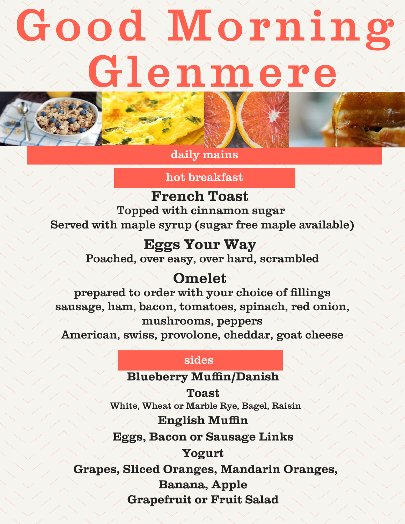# Good Morning Glenmere





daily mains

hot breakfast

**French Toast** Topped with cinnamon sugar Served with maple syrup (sugar free maple available)

> **Eggs Your Way** Poached, over easy, over hard, scrambled

# **Omelet**

prepared to order with your choice of fillings sausage, ham, bacon, tomatoes, spinach, red onion, mushrooms, peppers

American, swiss, provolone, cheddar, goat cheese

#### sides

## **Blueberry Muffin/Danish**

**Toast** White, Wheat or Marble Rye, Bagel, Raisin

### **English Muffin**

**Eggs, Bacon or Sausage Links**

## **Yogurt**

**Grapes, Sliced Oranges, Mandarin Oranges,**

**Banana, Apple**

**Grapefruit or Fruit Salad**